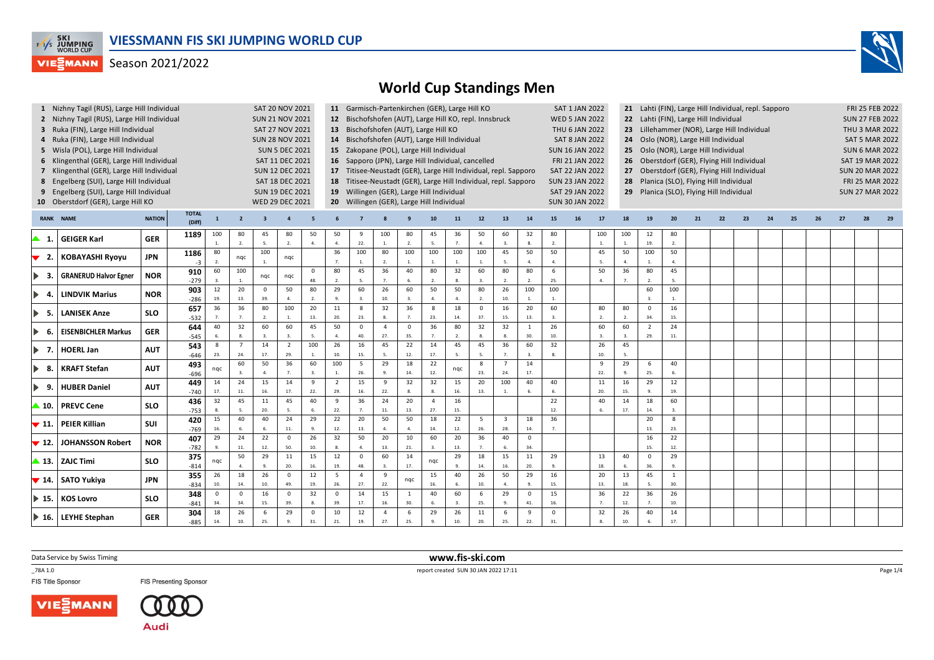



| 4                                   | 1 Nizhny Tagil (RUS), Large Hill Individual<br>2 Nizhny Tagil (RUS), Large Hill Individual<br>3 Ruka (FIN), Large Hill Individual<br>Ruka (FIN), Large Hill Individual<br>5 Wisla (POL), Large Hill Individual<br>6 Klingenthal (GER), Large Hill Individual<br>7 Klingenthal (GER), Large Hill Individual<br>8 Engelberg (SUI), Large Hill Individual |                          |                         |                     |                      | <b>SUN 21 NOV 2021</b><br><b>SAT 27 NOV 2021</b><br><b>SUN 28 NOV 2021</b> | SAT 20 NOV 2021<br><b>SUN 5 DEC 2021</b><br>SAT 11 DEC 2021<br><b>SUN 12 DEC 2021</b><br>SAT 18 DEC 2021 |                            |                                  |                              | 11 Garmisch-Partenkirchen (GER), Large Hill KO<br>12 Bischofshofen (AUT), Large Hill KO, repl. Innsbruck<br>13 Bischofshofen (AUT), Large Hill KO<br>14 Bischofshofen (AUT), Large Hill Individual<br>15 Zakopane (POL), Large Hill Individual<br>16 Sapporo (JPN), Large Hill Individual, cancelled<br>17 Titisee-Neustadt (GER), Large Hill Individual, repl. Sapporo<br>18 Titisee-Neustadt (GER), Large Hill Individual, repl. Sapporo |                             |                        |                               |                             |                                  |                             |                    | SAT 1 JAN 2022<br><b>WED 5 JAN 2022</b><br>THU 6 JAN 2022<br><b>SAT 8 JAN 2022</b><br><b>SUN 16 JAN 2022</b><br>FRI 21 JAN 2022<br><b>SAT 22 JAN 2022</b><br><b>SUN 23 JAN 2022</b> |                      | 21 Lahti (FIN), Large Hill Individual, repl. Sapporo<br>22 Lahti (FIN), Large Hill Individual<br>23 Lillehammer (NOR), Large Hill Individual<br>Oslo (NOR), Large Hill Individual<br>24<br>Oslo (NOR), Large Hill Individual<br>25 -<br>Oberstdorf (GER), Flying Hill Individual<br>26<br>27 Oberstdorf (GER), Flying Hill Individual<br>28 Planica (SLO), Flying Hill Individual<br>29 Planica (SLO), Flying Hill Individual |                                         |                        |    |    |    |    |    |  |  | FRI 25 FEB 2022<br><b>SUN 27 FEB 2022</b><br><b>THU 3 MAR 2022</b><br><b>SAT 5 MAR 2022</b><br><b>SUN 6 MAR 2022</b><br><b>SAT 19 MAR 2022</b><br><b>SUN 20 MAR 2022</b><br>FRI 25 MAR 2022 |  |  |  |  |
|-------------------------------------|--------------------------------------------------------------------------------------------------------------------------------------------------------------------------------------------------------------------------------------------------------------------------------------------------------------------------------------------------------|--------------------------|-------------------------|---------------------|----------------------|----------------------------------------------------------------------------|----------------------------------------------------------------------------------------------------------|----------------------------|----------------------------------|------------------------------|--------------------------------------------------------------------------------------------------------------------------------------------------------------------------------------------------------------------------------------------------------------------------------------------------------------------------------------------------------------------------------------------------------------------------------------------|-----------------------------|------------------------|-------------------------------|-----------------------------|----------------------------------|-----------------------------|--------------------|-------------------------------------------------------------------------------------------------------------------------------------------------------------------------------------|----------------------|-------------------------------------------------------------------------------------------------------------------------------------------------------------------------------------------------------------------------------------------------------------------------------------------------------------------------------------------------------------------------------------------------------------------------------|-----------------------------------------|------------------------|----|----|----|----|----|--|--|---------------------------------------------------------------------------------------------------------------------------------------------------------------------------------------------|--|--|--|--|
| 9<br><b>RANK</b>                    | Engelberg (SUI), Large Hill Individual<br>10 Oberstdorf (GER), Large Hill KO<br><b>NAME</b>                                                                                                                                                                                                                                                            | <b>NATION</b>            | <b>TOTAL</b><br>(Diff)  | $\mathbf{1}$        | $\overline{2}$       | WED 29 DEC 2021                                                            | <b>SUN 19 DEC 2021</b>                                                                                   |                            |                                  |                              | 19 Willingen (GER), Large Hill Individual<br>20 Willingen (GER), Large Hill Individual                                                                                                                                                                                                                                                                                                                                                     |                             | 10                     | 11                            | 12                          | 13                               | 14                          | 15                 | <b>SAT 29 JAN 2022</b><br><b>SUN 30 JAN 2022</b><br>16                                                                                                                              | 17                   | 18                                                                                                                                                                                                                                                                                                                                                                                                                            | 19                                      |                        | 21 | 22 | 23 | 24 | 25 |  |  | <b>SUN 27 MAR 2022</b>                                                                                                                                                                      |  |  |  |  |
| ▲ 1.                                | <b>GEIGER Karl</b>                                                                                                                                                                                                                                                                                                                                     | <b>GER</b>               | 1189                    | 100<br>$\mathbf{1}$ | 80<br>2.             | 45<br>5.                                                                   | 80<br>2.                                                                                                 | 50<br>$\overline{4}$ .     | 50<br>$\overline{4}$             | 9<br>22.                     | 100<br>1.                                                                                                                                                                                                                                                                                                                                                                                                                                  | 80<br>2.                    | 45<br>-5.              | 36<br>$\overline{7}$          | 50<br>$\overline{4}$        | 60<br>3.                         | 32<br>$\mathbf{R}$          | 80<br>2.           |                                                                                                                                                                                     | 100<br>1.            | 100<br>$1. \,$                                                                                                                                                                                                                                                                                                                                                                                                                | 12<br>19.                               | 80<br>2.               |    |    |    |    |    |  |  |                                                                                                                                                                                             |  |  |  |  |
| 2.<br>▼                             | <b>KOBAYASHI Ryoyu</b>                                                                                                                                                                                                                                                                                                                                 | <b>JPN</b>               | 1186<br>$-3$            | 80<br>2.            | nqc                  | 100                                                                        | nqc                                                                                                      |                            | 36<br>$\overline{7}$             | 100<br>1.                    | 80<br>2.                                                                                                                                                                                                                                                                                                                                                                                                                                   | 100<br>$\overline{1}$ .     | 100                    | 100<br>$\overline{1}$         | 100<br>$\overline{1}$       | 45<br>-5.                        | 50<br>$\mathbf{A}$          | 50<br>$\mathbf{4}$ |                                                                                                                                                                                     | 45<br>5.             | 50<br>$\mathbf{A}$                                                                                                                                                                                                                                                                                                                                                                                                            | 100<br>$\overline{1}$                   | 50<br>$\overline{a}$ . |    |    |    |    |    |  |  |                                                                                                                                                                                             |  |  |  |  |
| -3.                                 | <b>GRANERUD Halvor Egner</b>                                                                                                                                                                                                                                                                                                                           | <b>NOR</b>               | 910<br>$-279$           | 60<br>-3.           | 100<br>1.            | nqc                                                                        | nqc                                                                                                      | $\mathbf 0$<br>48.         | 80<br>$\overline{2}$ .           | 45<br>-5.                    | 36<br>$\overline{7}$                                                                                                                                                                                                                                                                                                                                                                                                                       | 40                          | 80<br>$\overline{2}$ . | 32                            | 60                          | 80<br>$\overline{2}$             | 80<br>$\overline{2}$        | 6<br>25.           |                                                                                                                                                                                     | 50<br>$\mathbf{4}$   | 36                                                                                                                                                                                                                                                                                                                                                                                                                            | 80<br>$\overline{2}$                    | 45<br>5.               |    |    |    |    |    |  |  |                                                                                                                                                                                             |  |  |  |  |
| ▶<br>-4                             | <b>LINDVIK Marius</b>                                                                                                                                                                                                                                                                                                                                  | <b>NOR</b>               | 903<br>$-286$           | 12<br>19.<br>36     | 20<br>13.<br>36      | $\mathbf{0}$<br>39.<br>80                                                  | 50<br>$\mathbf{A}$                                                                                       | 80<br>$\overline{2}$<br>20 | 29<br>$\mathbf{q}$<br>11         | 60<br>$\mathbf{3}$           | 26<br>10.                                                                                                                                                                                                                                                                                                                                                                                                                                  | 60<br>$\overline{3}$ .      | 50<br>$\mathbf{4}$     | 50<br>$\overline{a}$ .        | 80<br>2.                    | 26<br>10.                        | 100<br>$\overline{1}$<br>20 | 100<br>1.<br>60    |                                                                                                                                                                                     |                      |                                                                                                                                                                                                                                                                                                                                                                                                                               | 60<br>3.                                | 100<br>$\overline{1}$  |    |    |    |    |    |  |  |                                                                                                                                                                                             |  |  |  |  |
| -5.<br>$\blacktriangleright$        | <b>LANISEK Anze</b>                                                                                                                                                                                                                                                                                                                                    | <b>SLO</b>               | 657<br>$-532$<br>644    | 7.<br>40            | 7.<br>32             | 2.<br>60                                                                   | 100<br>$\mathbf{1}$<br>60                                                                                | 13.<br>45                  | 20.<br>50                        | - 8<br>23.<br>$\overline{0}$ | 32<br>$\overline{4}$                                                                                                                                                                                                                                                                                                                                                                                                                       | 36<br>$\Omega$              | 8<br>23.<br>36         | 18<br>14.<br>80               | $\overline{0}$<br>37.<br>32 | 16<br>15.<br>32                  | 13.<br>$\overline{1}$       | 26                 |                                                                                                                                                                                     | 80<br>2.<br>60       | 80<br>2.<br>60                                                                                                                                                                                                                                                                                                                                                                                                                | $\overline{0}$<br>34.<br>$\overline{2}$ | 16<br>15.<br>24        |    |    |    |    |    |  |  |                                                                                                                                                                                             |  |  |  |  |
| -6.                                 | <b>EISENBICHLER Markus</b>                                                                                                                                                                                                                                                                                                                             | <b>GER</b>               | $-545$<br>543           | 8                   | 8.<br>$\overline{7}$ | 3.<br>14                                                                   | $\overline{2}$                                                                                           | 5.<br>100                  | 26                               | 40.<br>16                    | 27.<br>45                                                                                                                                                                                                                                                                                                                                                                                                                                  | 35.<br>22                   | 14                     | 45                            | 45                          | 36                               | 30.<br>60                   | 10.<br>32          |                                                                                                                                                                                     | 26                   | 45                                                                                                                                                                                                                                                                                                                                                                                                                            | 29.                                     | 11.                    |    |    |    |    |    |  |  |                                                                                                                                                                                             |  |  |  |  |
| $\blacktriangleright$<br>- 7.       | <b>HOERL Jan</b><br><b>KRAFT Stefan</b>                                                                                                                                                                                                                                                                                                                | <b>AUT</b><br><b>AUT</b> | $-646$<br>493           | 23.                 | 24.<br>60            | 17.<br>50                                                                  | 29.<br>36                                                                                                | 1.<br>60                   | 10.<br>100                       | 15.<br>-5                    | $\overline{\phantom{a}}$<br>29                                                                                                                                                                                                                                                                                                                                                                                                             | 12.<br>18                   | 17.<br>22              |                               | $\overline{5}$<br>8         | $\overline{7}$<br>$\overline{7}$ | 14                          |                    |                                                                                                                                                                                     | 10.<br>$\mathbf{q}$  | 29                                                                                                                                                                                                                                                                                                                                                                                                                            | 6                                       | 40                     |    |    |    |    |    |  |  |                                                                                                                                                                                             |  |  |  |  |
| -8.<br>$\blacktriangleright$<br>-9. | <b>HUBER Daniel</b>                                                                                                                                                                                                                                                                                                                                    | <b>AUT</b>               | $-696$<br>449           | nqc<br>14           | 24                   | 4.<br>15                                                                   | 7.<br>14                                                                                                 | $\mathbf{3}$<br>9          | $\overline{1}$<br>$\overline{2}$ | 26.<br>15                    | 9                                                                                                                                                                                                                                                                                                                                                                                                                                          | 14.<br>32                   | 12.<br>32              | nqc<br>15                     | 23.<br>20                   | 24.<br>100                       | 17.<br>40                   | 40                 |                                                                                                                                                                                     | 22.<br>11            | 9.<br>16                                                                                                                                                                                                                                                                                                                                                                                                                      | 25.<br>29                               | 6.<br>12               |    |    |    |    |    |  |  |                                                                                                                                                                                             |  |  |  |  |
| $\blacktriangle$ 10.                | <b>PREVC Cene</b>                                                                                                                                                                                                                                                                                                                                      | <b>SLO</b>               | $-740$<br>436           | 17.<br>32           | 11.<br>45            | 16.<br>11                                                                  | 17.<br>45                                                                                                | 22.<br>40                  | 29.<br>9                         | 16.<br>36                    | 22.<br>24                                                                                                                                                                                                                                                                                                                                                                                                                                  | 8.<br>20                    | $\overline{4}$         | 16.<br>16                     | 13.                         |                                  |                             | 6.<br>22           |                                                                                                                                                                                     | 20.<br>40            | 15.<br>14                                                                                                                                                                                                                                                                                                                                                                                                                     | 9.<br>18                                | 19.<br>60              |    |    |    |    |    |  |  |                                                                                                                                                                                             |  |  |  |  |
| $\blacktriangledown$ 11.            | <b>PEIER Killian</b>                                                                                                                                                                                                                                                                                                                                   | <b>SUI</b>               | $-753$<br>420<br>$-769$ | 8.<br>15<br>16.     | 5.<br>40<br>6.       | 20.<br>$\overline{40}$<br>6.                                               | 5.<br>$\overline{24}$<br>11.                                                                             | 6.<br>29<br>9.             | 22.<br>$\overline{22}$<br>12.    | $\overline{7}$<br>20<br>13.  | 11.<br>50<br>$\overline{a}$                                                                                                                                                                                                                                                                                                                                                                                                                | 13.<br>50<br>$\overline{a}$ | 27.<br>18<br>14.       | 15.<br>$\overline{22}$<br>12. | 5<br>26.                    | $\overline{3}$<br>28.            | 18<br>14.                   | 12.<br>36<br>7.    |                                                                                                                                                                                     |                      | 17.                                                                                                                                                                                                                                                                                                                                                                                                                           | 14.<br>20<br>13.                        | 3.<br>8<br>23.         |    |    |    |    |    |  |  |                                                                                                                                                                                             |  |  |  |  |
| $\blacktriangledown$ 12.            | <b>JOHANSSON Robert</b>                                                                                                                                                                                                                                                                                                                                | <b>NOR</b>               | 407<br>$-782$           | 29                  | 24<br>11.            | 22<br>12.                                                                  | $\mathbf 0$<br>50.                                                                                       | 26<br>10.                  | 32<br>-8.                        | 50<br>$\Lambda$              | 20<br>13.                                                                                                                                                                                                                                                                                                                                                                                                                                  | 10<br>21.                   | 60                     | 20<br>13                      | 36<br>$\overline{7}$        | 40                               | $\mathbf 0$<br>34.          |                    |                                                                                                                                                                                     |                      |                                                                                                                                                                                                                                                                                                                                                                                                                               | 16<br>15.                               | 22<br>12.              |    |    |    |    |    |  |  |                                                                                                                                                                                             |  |  |  |  |
|                                     | $\triangle$ 13.   ZAJC Timi                                                                                                                                                                                                                                                                                                                            | <b>SLO</b>               | 375<br>$-814$           | ngc                 | 50<br>4.             | 29                                                                         | 11<br>20.                                                                                                | 15<br>16.                  | 12<br>19.                        | $\overline{0}$<br>48.        | 60                                                                                                                                                                                                                                                                                                                                                                                                                                         | 14<br>17.                   | ngc                    | 29                            | 18<br>14.                   | 15<br>16.                        | 11<br>20.                   | 29                 |                                                                                                                                                                                     | 13<br>18.            | 40<br>6.                                                                                                                                                                                                                                                                                                                                                                                                                      | $\mathsf 0$<br>36.                      | 29<br>$\ddot{q}$       |    |    |    |    |    |  |  |                                                                                                                                                                                             |  |  |  |  |
| $\blacktriangledown$ 14.            | SATO Yukiya                                                                                                                                                                                                                                                                                                                                            | <b>JPN</b>               | 355<br>$-834$           | 26<br>10.           | 18<br>14.            | $\overline{26}$<br>10.                                                     | $\mathbf 0$<br>49.                                                                                       | 12<br>19.                  | 5<br>26.                         | $\overline{4}$<br>27.        | 9<br>22.                                                                                                                                                                                                                                                                                                                                                                                                                                   | nqc                         | 15<br>16.              | 40                            | 26<br>10.                   | 50<br>4.                         | 29                          | 16<br>15.          |                                                                                                                                                                                     | 20<br>13.            | 13<br>18.                                                                                                                                                                                                                                                                                                                                                                                                                     | 45<br>$\overline{5}$                    | $\mathbf{1}$<br>30.    |    |    |    |    |    |  |  |                                                                                                                                                                                             |  |  |  |  |
| $\blacktriangleright$ 15.           | <b>KOS Lovro</b>                                                                                                                                                                                                                                                                                                                                       | <b>SLO</b>               | 348<br>$-841$           | $\Omega$<br>34.     | $\mathbf{0}$<br>34.  | 16<br>15.                                                                  | $\mathbf 0$<br>39.                                                                                       | 32<br>8.                   | $\mathbf 0$<br>39.               | 14<br>17.                    | 15<br>16.                                                                                                                                                                                                                                                                                                                                                                                                                                  | <sup>1</sup><br>30.         | 40                     | 60                            | 6<br>25.                    | 29<br>$\alpha$                   | $\mathbf{0}$<br>41.         | 15<br>16.          |                                                                                                                                                                                     | 36<br>7 <sup>1</sup> | 22<br>12.                                                                                                                                                                                                                                                                                                                                                                                                                     | 36<br>7.                                | 26<br>10.              |    |    |    |    |    |  |  |                                                                                                                                                                                             |  |  |  |  |
|                                     | $\blacktriangleright$ 16. LEYHE Stephan                                                                                                                                                                                                                                                                                                                | <b>GER</b>               | 304<br>-885             | 18<br>14.           | 26<br>10.            | 6<br>25.                                                                   | 29<br>9                                                                                                  | $\mathsf 0$<br>31.         | 10<br>21.                        | 12<br>19.                    | $\overline{4}$<br>27.                                                                                                                                                                                                                                                                                                                                                                                                                      | 6<br>25.                    | 29                     | 26<br>10.                     | 11<br>20.                   | -6<br>25.                        | 9<br>22.                    | $\Omega$<br>31.    |                                                                                                                                                                                     | 32<br>8.             | 26<br>10.                                                                                                                                                                                                                                                                                                                                                                                                                     | 40<br>6.                                | 14<br>17.              |    |    |    |    |    |  |  |                                                                                                                                                                                             |  |  |  |  |

Data Service by Swiss Timing

VIE EMANN

\_78A 1.0

FIS Title Sponsor





 **www.fis-ski.com**report created SUN 30 JAN 2022 17:11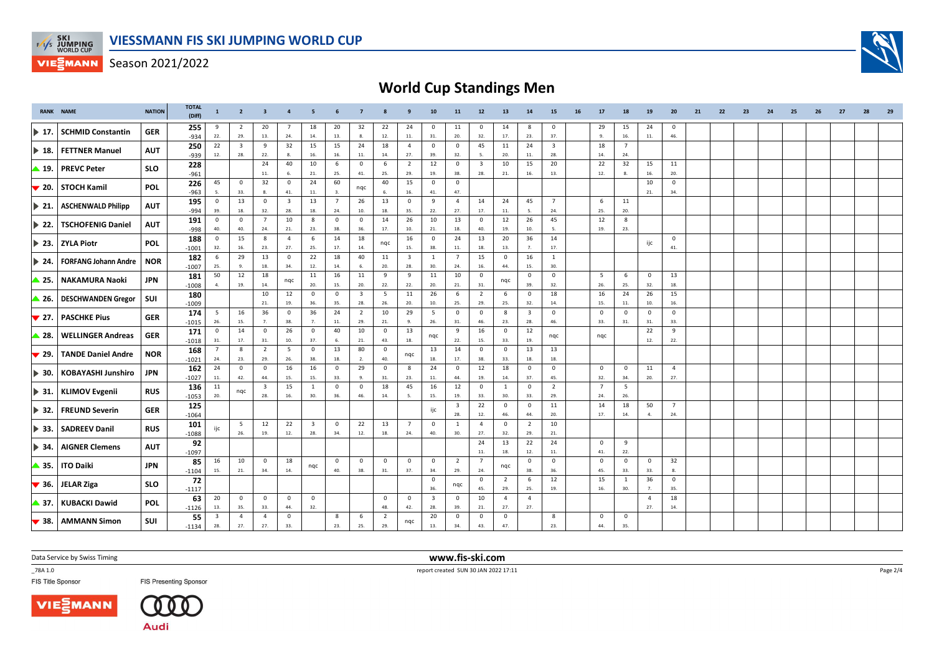

## **World Cup Standings Men**

| <b>RANK NAME</b>          |                             | <b>NATION</b> | <b>TOTAL</b><br>(Diff) | $\mathbf{1}$                   | $\overline{2}$          | $\overline{\mathbf{3}}$ | $\overline{a}$        | 5                       |                       | $\overline{7}$          |                         | 9                       | 10                      | 11                      | 12                      | 13                    | 14                             | 15                      | 16 | 17                 | 18                 | 19                 | 20                    | 21 | 22 | 23 | 24 | 25 | 26 | 27 | 28 | 29 |
|---------------------------|-----------------------------|---------------|------------------------|--------------------------------|-------------------------|-------------------------|-----------------------|-------------------------|-----------------------|-------------------------|-------------------------|-------------------------|-------------------------|-------------------------|-------------------------|-----------------------|--------------------------------|-------------------------|----|--------------------|--------------------|--------------------|-----------------------|----|----|----|----|----|----|----|----|----|
| $\blacktriangleright$ 17. | <b>SCHMID Constantin</b>    | <b>GER</b>    | 255<br>-934            | 9<br>22.                       | $\overline{2}$<br>29.   | 20<br>13.               | $\overline{7}$<br>24. | 18<br>14.               | 20<br>13.             | 32<br>8.                | 22<br>12.               | 24<br>11.               | 0<br>31.                | 11<br>20.               | $^{\circ}$<br>32.       | 14<br>17.             | 8<br>23.                       | $^{\circ}$<br>37.       |    | 29<br>9.           | 15<br>16.          | 24<br>11.          | $^{\circ}$<br>46.     |    |    |    |    |    |    |    |    |    |
|                           |                             |               | 250                    | 22                             | $\overline{\mathbf{3}}$ | 9                       | 32                    | 15                      | 15                    | 24                      | 18                      | $\overline{4}$          | $\mathbf{0}$            | $^{\circ}$              | 45                      | 11                    | 24                             | $\overline{\mathbf{3}}$ |    | 18                 | $\overline{7}$     |                    |                       |    |    |    |    |    |    |    |    |    |
| $\blacktriangleright$ 18. | <b>FETTNER Manuel</b>       | <b>AUT</b>    | -939                   | 12.                            | 28.                     | 22.                     | 8.                    | 16.                     | 16.                   | 11.                     | 14.                     | 27.                     | 39.                     | 32.                     | -5.                     | 20.                   | 11.                            | 28.                     |    | 14.                | 24.                |                    |                       |    |    |    |    |    |    |    |    |    |
| ▲ 19.                     | <b>PREVC Peter</b>          | <b>SLO</b>    | 228                    |                                |                         | 24                      | 40                    | 10                      | 6                     | $\mathbf 0$             | 6                       | $\overline{2}$          | 12                      | $\mathbf 0$             | $\overline{\mathbf{3}}$ | 10                    | 15                             | 20                      |    | 22                 | 32                 | 15                 | 11                    |    |    |    |    |    |    |    |    |    |
|                           |                             |               | $-961$<br>226          | 45                             | $\mathbf 0$             | 11.<br>32               | 6.<br>$\mathsf 0$     | 21.<br>24               | 25.<br>60             | 41.                     | 25.<br>40               | 29.<br>15               | 19.<br>$\overline{0}$   | 38.<br>$\mathbf 0$      | 28.                     | 21.                   | 16.                            | 13.                     |    | 12.                | 8.                 | 16.<br>10          | 20.<br>$\mathbf 0$    |    |    |    |    |    |    |    |    |    |
| $\blacktriangledown$ 20.  | <b>STOCH Kamil</b>          | <b>POL</b>    | $-963$                 | 5.                             | 33.                     | 8.                      | 41.                   | 11.                     | 3.                    | nqc                     | 6.                      | 16.                     | 41.                     | 47.                     |                         |                       |                                |                         |    |                    |                    | 21.                | 34.                   |    |    |    |    |    |    |    |    |    |
| $\triangleright$ 21.      | <b>ASCHENWALD Philipp</b>   | <b>AUT</b>    | 195                    | $\mathbf 0$                    | 13                      | $\mathbf{0}$            | $\overline{3}$        | 13                      | $\overline{7}$        | 26                      | 13                      | $^{\circ}$              | 9                       | $\overline{4}$          | 14                      | 24                    | 45                             | $\overline{7}$          |    | 6                  | 11                 |                    |                       |    |    |    |    |    |    |    |    |    |
|                           |                             |               | $-994$                 | 39.                            | 18.                     | 32.                     | 28.                   | 18.                     | 24.                   | 10.                     | 18.                     | 35.                     | 22.                     | 27.                     | 17.                     | 11.                   | - 5.                           | 24.                     |    | 25.                | 20.                |                    |                       |    |    |    |    |    |    |    |    |    |
| $\blacktriangleright$ 22. | <b>TSCHOFENIG Daniel</b>    | <b>AUT</b>    | 191                    | $\mathbf 0$<br>40.             | $\mathbf 0$<br>40.      | $\overline{7}$<br>24.   | 10<br>21.             | 8<br>23.                | $\mathbf 0$<br>38.    | $^{\circ}$<br>36.       | 14<br>17.               | 26                      | 10<br>21.               | 13<br>18.               | $\overline{0}$<br>40.   | 12<br>19.             | 26                             | 45<br>-5.               |    | 12<br>19.          | 8<br>23.           |                    |                       |    |    |    |    |    |    |    |    |    |
|                           |                             |               | $-998$<br>188          | $\mathbf 0$                    | 15                      | 8                       | $\overline{4}$        | 6                       | 14                    | 18                      |                         | 10.<br>16               | $\overline{\mathbf{0}}$ | 24                      | 13                      | 20                    | 10.<br>36                      | 14                      |    |                    |                    |                    | $\mathbf 0$           |    |    |    |    |    |    |    |    |    |
| $\blacktriangleright$ 23. | <b>ZYLA Piotr</b>           | <b>POL</b>    | $-1001$                | 32.                            | 16.                     | 23.                     | 27.                   | 25.                     | 17.                   | 14.                     | nqc                     | 15.                     | 38.                     | 11.                     | 18.                     | 13.                   | 7.                             | 17.                     |    |                    |                    | ijc                | 41.                   |    |    |    |    |    |    |    |    |    |
|                           | <b>FORFANG Johann Andre</b> |               | 182                    | 6                              | 29                      | 13                      | $\mathsf 0$           | 22                      | 18                    | 40                      | 11                      | $\overline{\mathbf{3}}$ | 1                       | $\overline{7}$          | 15                      | $\overline{0}$        | 16                             | 1                       |    |                    |                    |                    |                       |    |    |    |    |    |    |    |    |    |
| $\blacktriangleright$ 24. |                             | <b>NOR</b>    | $-1007$                | 25.                            | 9.                      | 18.                     | 34.                   | 12.                     | 14.                   | 6.                      | 20.                     | 28.                     | 30.                     | 24.                     | 16.                     | 44.                   | 15.                            | 30.                     |    |                    |                    |                    |                       |    |    |    |    |    |    |    |    |    |
| ▲ 25.                     | <b>NAKAMURA Naoki</b>       | JPN           | 181<br>$-1008$         | 50<br>4.                       | 12<br>19.               | 18<br>14.               | nqc                   | 11<br>20.               | 16<br>15.             | 11<br>20.               | 9<br>22.                | 9<br>22.                | 11<br>20.               | 10<br>21.               | $\overline{0}$<br>31.   | nqc                   | $\mathbf 0$<br>39.             | $\mathsf 0$<br>32.      |    | 5<br>26.           | 6<br>25.           | $\mathbf 0$<br>32. | 13<br>18.             |    |    |    |    |    |    |    |    |    |
|                           |                             |               | 180                    |                                |                         | 10                      | 12                    | $\mathbf 0$             | $\overline{0}$        | $\overline{\mathbf{3}}$ | $5\overline{5}$         | 11                      | 26                      | 6                       | $\overline{2}$          | - 6                   | $\overline{\mathbf{0}}$        | 18                      |    | 16                 | 24                 | 26                 | 15                    |    |    |    |    |    |    |    |    |    |
| ▲ 26.                     | <b>DESCHWANDEN Gregor</b>   | SUI           | $-1009$                |                                |                         | 21.                     | 19.                   | 36.                     | 35.                   | 28.                     | 26.                     | 20.                     | 10.                     | 25.                     | 29.                     | 25.                   | 32.                            | 14.                     |    | 15.                | 11.                | 10.                | 16.                   |    |    |    |    |    |    |    |    |    |
| $\blacktriangledown$ 27.  | <b>PASCHKE Pius</b>         | <b>GER</b>    | 174<br>$-1015$         | 5<br>26.                       | 16<br>15.               | 36<br>7.                | $\mathsf 0$<br>38.    | 36<br>7.                | 24<br>11.             | $\overline{2}$<br>29.   | 10<br>21.               | 29<br>9.                | $5\overline{5}$<br>26.  | $\mathbf 0$<br>31.      | $\overline{0}$<br>46.   | 8<br>23.              | $\overline{\mathbf{3}}$<br>28. | $\mathbf 0$<br>46.      |    | $\mathsf 0$<br>33. | $\mathbf 0$<br>31. | 0<br>31.           | $\mathbf{0}$<br>33.   |    |    |    |    |    |    |    |    |    |
|                           |                             |               | 171                    | $^{\circ}$                     | 14                      | $\mathbf 0$             | 26                    | $\mathbf 0$             | 40                    | 10                      | $\overline{\mathbf{0}}$ | 13                      |                         | 9                       | 16                      | $\overline{0}$        | 12                             |                         |    |                    |                    | 22                 | 9                     |    |    |    |    |    |    |    |    |    |
| ▲ 28.                     | <b>WELLINGER Andreas</b>    | <b>GER</b>    | $-1018$                | 31.                            | 17.                     | 31.                     | 10.                   | 37.                     | 6.                    | 21.                     | 43.                     | 18.                     | nqc                     | 22.                     | 15.                     | 33.                   | 19.                            | nqc                     |    | ngc                |                    | 12.                | 22.                   |    |    |    |    |    |    |    |    |    |
| $\blacktriangledown$ 29.  | <b>TANDE Daniel Andre</b>   | <b>NOR</b>    | 168                    | $\overline{7}$                 | 8                       | $\overline{2}$          | 5                     | $\mathbf 0$             | 13                    | 80                      | $\overline{\mathbf{0}}$ | nqc                     | 13                      | 14                      | $\mathbf 0$             | $\overline{0}$        | 13                             | 13                      |    |                    |                    |                    |                       |    |    |    |    |    |    |    |    |    |
|                           |                             |               | $-1021$                | 24.                            | 23.                     | 29.                     | 26.                   | 38.                     | 18.                   | 2.                      | 40.                     |                         | 18.                     | 17.                     | 38.                     | 33.                   | 18.                            | 18.                     |    |                    |                    |                    |                       |    |    |    |    |    |    |    |    |    |
| ▶ 30.                     | <b>KOBAYASHI Junshiro</b>   | JPN           | 162                    | 24<br>11.                      | $\mathbf 0$<br>42.      | $\mathbf 0$<br>44.      | 16<br>15.             | 16<br>15.               | $\overline{0}$<br>33. | 29<br>9.                | $\overline{0}$<br>31.   | 8<br>23.                | 24<br>11.               | $\mathbf 0$<br>44.      | 12<br>19.               | 18<br>14.             | $\overline{\mathbf{0}}$<br>37. | $\mathbf 0$<br>45.      |    | $\mathbf 0$<br>32. | $\mathbf 0$<br>34. | 11<br>20.          | $\overline{4}$<br>27. |    |    |    |    |    |    |    |    |    |
|                           |                             |               | $-1027$<br>136         | 11                             |                         | $\mathbf{B}$            | 15                    | $\mathbf{1}$            | $\circ$               | $\mathbf 0$             | 18                      | 45                      | 16                      | 12                      | $\overline{0}$          | <sup>1</sup>          | $\mathbf 0$                    | $\overline{2}$          |    | $\overline{7}$     | 5                  |                    |                       |    |    |    |    |    |    |    |    |    |
| $\blacktriangleright$ 31. | <b>KLIMOV Evgenii</b>       | <b>RUS</b>    | $-1053$                | 20.                            | nqc                     | 28.                     | 16.                   | 30.                     | 36.                   | 46.                     | 14.                     | 5.                      | 15.                     | 19.                     | 33.                     | 30.                   | 33.                            | 29.                     |    | 24.                | 26.                |                    |                       |    |    |    |    |    |    |    |    |    |
| $\blacktriangleright$ 32. | <b>FREUND Severin</b>       | <b>GER</b>    | 125                    |                                |                         |                         |                       |                         |                       |                         |                         |                         | ijc                     | $\overline{\mathbf{3}}$ | 22                      | $\overline{0}$        | $\mathbf 0$                    | 11                      |    | 14                 | 18                 | 50                 | $\overline{7}$        |    |    |    |    |    |    |    |    |    |
|                           |                             |               | $-1064$                |                                |                         |                         |                       |                         |                       |                         |                         |                         |                         | 28.                     | 12.                     | 46.                   | 44.                            | 20.                     |    | 17.                | 14.                | 4.                 | 24.                   |    |    |    |    |    |    |    |    |    |
| $\blacktriangleright$ 33. | <b>SADREEV Danil</b>        | <b>RUS</b>    | 101                    | ijc                            | -5                      | 12                      | 22                    | $\overline{\mathbf{3}}$ | $\overline{0}$        | 22                      | 13                      | $\overline{7}$          | $\mathbf 0$             | 1                       | $\overline{4}$          | $\overline{0}$        | $\overline{2}$                 | 10                      |    |                    |                    |                    |                       |    |    |    |    |    |    |    |    |    |
|                           |                             |               | $-1088$                |                                | 26.                     | 19.                     | 12.                   | 28.                     | 34.                   | 12.                     | 18.                     | 24.                     | 40.                     | 30.                     | 27.<br>24               | 32.                   | 29.<br>22                      | 21.<br>24               |    | $\mathbf{0}$       | 9                  |                    |                       |    |    |    |    |    |    |    |    |    |
| ▶ 34.                     | <b>AIGNER Clemens</b>       | <b>AUT</b>    | 92<br>$-1097$          |                                |                         |                         |                       |                         |                       |                         |                         |                         |                         |                         | 11.                     | 13<br>18.             | 12.                            | 11.                     |    | 41.                | 22.                |                    |                       |    |    |    |    |    |    |    |    |    |
|                           |                             |               | 85                     | 16                             | 10                      | $\mathbf 0$             | 18                    |                         | $\mathbf{0}$          | $\mathbf 0$             | $\mathbf 0$             | $\overline{\mathbf{0}}$ | $\mathbf{0}$            | $\overline{2}$          | $\overline{7}$          |                       | 0                              | $\mathbf 0$             |    | $\mathbf 0$        | 0                  | 0                  | 32                    |    |    |    |    |    |    |    |    |    |
| ▲ 35.                     | <b>ITO Daiki</b>            | <b>JPN</b>    | $-1104$                | 15.                            | 21.                     | 34.                     | 14.                   | nqc                     | 40.                   | 38.                     | 31.                     | 37.                     | 34.                     | 29.                     | 24.                     | nqc                   | 38.                            | 36.                     |    | 45.                | 33.                | 33.                | 8.                    |    |    |    |    |    |    |    |    |    |
| $\blacktriangledown$ 36.  | <b>JELAR Ziga</b>           | <b>SLO</b>    | 72<br>$-1117$          |                                |                         |                         |                       |                         |                       |                         |                         |                         | $\overline{0}$<br>36.   | nqc                     | $\mathbf 0$<br>45.      | $\overline{2}$<br>29. | 6<br>25.                       | 12<br>19.               |    | 15<br>16.          | 1<br>30.           | 36<br>7.           | $\mathbf 0$<br>35.    |    |    |    |    |    |    |    |    |    |
|                           |                             |               | 63                     | 20                             | $\mathbf 0$             | $^{\circ}$              | $\mathbf 0$           | $\mathbf 0$             |                       |                         | $\overline{\mathbf{0}}$ | $\overline{\mathbf{0}}$ | $\overline{\mathbf{3}}$ | $\mathbf 0$             | 10                      | $\overline{4}$        | $\overline{4}$                 |                         |    |                    |                    | $\overline{a}$     | 18                    |    |    |    |    |    |    |    |    |    |
| ▲ 37.                     | <b>KUBACKI Dawid</b>        | <b>POL</b>    | $-1126$                | 13.                            | 35.                     | 33.                     | 44.                   | 32.                     |                       |                         | 48.                     | 42.                     | 28.                     | 39.                     | 21.                     | 27.                   | 27.                            |                         |    |                    |                    | 27.                | 14.                   |    |    |    |    |    |    |    |    |    |
| $\blacktriangledown$ 38.  | <b>AMMANN Simon</b>         | <b>SUI</b>    | 55<br>$-1134$          | $\overline{\mathbf{3}}$<br>28. | $\overline{4}$<br>27.   | $\overline{4}$<br>27.   | $\mathbf 0$<br>33.    |                         | 8<br>23.              | 6<br>25.                | $\overline{2}$<br>29.   | nqc                     | 20<br>13.               | $\mathbf 0$<br>34.      | $\mathbf 0$<br>43.      | $\overline{0}$<br>47. |                                | 8<br>23.                |    | $\mathbf 0$<br>44. | $\mathbf 0$<br>35. |                    |                       |    |    |    |    |    |    |    |    |    |

Data Service by Swiss Timing

\_78A 1.0

FIS Title Sponsor





**FIS Presenting Sponsor** 

 **www.fis-ski.com**report created SUN 30 JAN 2022 17:11

Page 2/4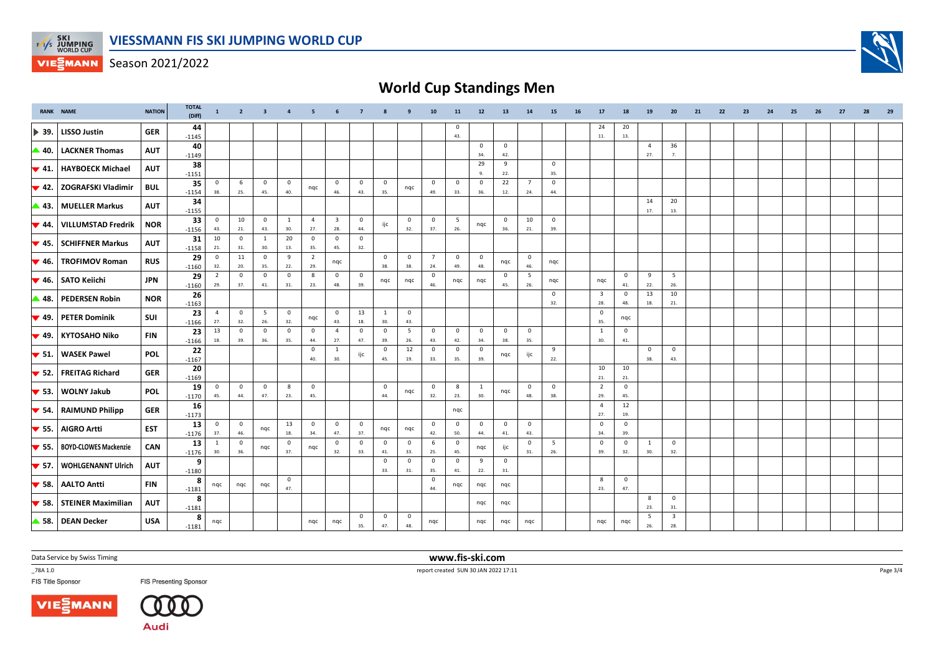

## **World Cup Standings Men**

| <b>RANK NAME</b>          |                              | <b>NATION</b> | <b>TOTAL</b><br>(Diff) | $\mathbf{1}$          | $\overline{2}$      | $\overline{\mathbf{3}}$ | $\overline{a}$        | - 5                   | 6                              | $\overline{7}$      |                                | 9                              | 10                    | 11                  | 12                  | 13                             | 14                             | 15                 | 16 | 17                             | 18                  | 19                    | 20                             | 21 | 22 | 23 | 24 | 25 | 26 | 27 | 28 | 29 |
|---------------------------|------------------------------|---------------|------------------------|-----------------------|---------------------|-------------------------|-----------------------|-----------------------|--------------------------------|---------------------|--------------------------------|--------------------------------|-----------------------|---------------------|---------------------|--------------------------------|--------------------------------|--------------------|----|--------------------------------|---------------------|-----------------------|--------------------------------|----|----|----|----|----|----|----|----|----|
| $\blacktriangleright$ 39. | <b>LISSO Justin</b>          | <b>GER</b>    | 44<br>$-1145$          |                       |                     |                         |                       |                       |                                |                     |                                |                                |                       | $^{\circ}$<br>43.   |                     |                                |                                |                    |    | 24<br>$11.$                    | 20<br>13.           |                       |                                |    |    |    |    |    |    |    |    |    |
| $\triangle$ 40.           | <b>LACKNER Thomas</b>        | <b>AUT</b>    | 40<br>$-1149$          |                       |                     |                         |                       |                       |                                |                     |                                |                                |                       |                     | $\mathbf 0$<br>34.  | $\overline{0}$<br>42.          |                                |                    |    |                                |                     | $\overline{a}$<br>27. | 36<br>7.                       |    |    |    |    |    |    |    |    |    |
| $\blacktriangledown$ 41.  | <b>HAYBOECK Michael</b>      | <b>AUT</b>    | 38<br>$-1151$          |                       |                     |                         |                       |                       |                                |                     |                                |                                |                       |                     | 29<br>-9.           | 9<br>22.                       |                                | $\mathbf 0$<br>35. |    |                                |                     |                       |                                |    |    |    |    |    |    |    |    |    |
| $\blacktriangledown$ 42.  | ZOGRAFSKI Vladimir           | <b>BUL</b>    | 35<br>$-1154$          | $\mathbf 0$<br>38.    | 6<br>25.            | $\mathbf 0$<br>45.      | $\mathbf 0$<br>40.    | nqc                   | $\overline{0}$<br>46.          | $\mathbf 0$<br>43.  | $\overline{0}$<br>35.          | nqc                            | $\mathbf{0}$<br>49.   | $\mathbf 0$<br>33.  | $\mathbf 0$<br>36.  | 22<br>12.                      | $\overline{7}$<br>24.          | $\mathbf 0$<br>44. |    |                                |                     |                       |                                |    |    |    |    |    |    |    |    |    |
| ▲ 43.                     | <b>MUELLER Markus</b>        | <b>AUT</b>    | 34<br>$-1155$          |                       |                     |                         |                       |                       |                                |                     |                                |                                |                       |                     |                     |                                |                                |                    |    |                                |                     | 14<br>17.             | 20<br>13.                      |    |    |    |    |    |    |    |    |    |
| $\blacktriangledown$ 44.  | <b>VILLUMSTAD Fredrik</b>    | <b>NOR</b>    | 33<br>$-1156$          | $\mathbf 0$<br>43.    | 10<br>21.           | $\mathbf 0$<br>43.      | <sup>1</sup><br>30.   | $\overline{4}$<br>27. | $\overline{\mathbf{3}}$<br>28. | $\mathbf 0$<br>44.  | ijc                            | $\overline{0}$<br>32.          | $\mathbf 0$<br>37.    | 5<br>26.            | nqc                 | $\overline{0}$<br>36.          | 10<br>21.                      | $\mathbf 0$<br>39. |    |                                |                     |                       |                                |    |    |    |    |    |    |    |    |    |
| $\blacktriangledown$ 45.  | <b>SCHIFFNER Markus</b>      | <b>AUT</b>    | 31<br>$-1158$          | 10<br>21.             | $\mathbf 0$<br>31.  | $\mathbf{1}$<br>30.     | 20<br>13.             | $\overline{0}$<br>35. | $\overline{0}$<br>45.          | $\mathbf 0$<br>32.  |                                |                                |                       |                     |                     |                                |                                |                    |    |                                |                     |                       |                                |    |    |    |    |    |    |    |    |    |
| $\blacktriangledown$ 46.  | <b>TROFIMOV Roman</b>        | <b>RUS</b>    | 29<br>$-1160$          | $\mathbf 0$<br>32.    | 11<br>20.           | $\mathsf 0$<br>35.      | 9<br>22.              | $\overline{2}$<br>29. | nqc                            |                     | $\overline{0}$<br>38.          | $\overline{0}$<br>38.          | $7^{\circ}$<br>24.    | $\mathbf{0}$<br>49. | $\mathbf 0$<br>48.  | nqc                            | $\overline{0}$<br>46.          | nqc                |    |                                |                     |                       |                                |    |    |    |    |    |    |    |    |    |
| $\blacktriangledown$ 46.  | <b>SATO Keiichi</b>          | <b>JPN</b>    | 29<br>$-1160$          | $\overline{2}$<br>29. | $\mathsf 0$<br>37.  | $\circ$<br>41.          | $\mathbf 0$<br>31.    | 8<br>23.              | $\mathbf 0$<br>48.             | $\mathbf 0$<br>39.  | nqc                            | nqc                            | $\mathbf 0$<br>46.    | nqc                 | nqc                 | $\overline{\mathbf{0}}$<br>45. | 5<br>26.                       | nqc                |    | nqc                            | $\mathbf 0$<br>41.  | 9<br>22.              | 5<br>26.                       |    |    |    |    |    |    |    |    |    |
| ▲ 48.                     | <b>PEDERSEN Robin</b>        | <b>NOR</b>    | 26<br>$-1163$          |                       |                     |                         |                       |                       |                                |                     |                                |                                |                       |                     |                     |                                |                                | $^{\circ}$<br>32.  |    | $\overline{\mathbf{3}}$<br>28. | $\mathbf 0$<br>48.  | 13<br>18.             | 10<br>21.                      |    |    |    |    |    |    |    |    |    |
| $\blacktriangledown$ 49.  | <b>PETER Dominik</b>         | SUI           | 23<br>$-1166$          | $\overline{4}$<br>27. | $\mathbf 0$<br>32.  | 5<br>26.                | $\overline{0}$<br>32. | nqc                   | $\overline{0}$<br>43.          | 13<br>18.           | $\mathbf{1}$<br>30.            | $\overline{\mathbf{0}}$<br>43. |                       |                     |                     |                                |                                |                    |    | $\mathbf 0$<br>35.             | nqc                 |                       |                                |    |    |    |    |    |    |    |    |    |
| $\blacktriangledown$ 49.  | <b>KYTOSAHO Niko</b>         | <b>FIN</b>    | 23<br>$-1166$          | 13<br>18.             | $\mathbf 0$<br>39.  | $^{\circ}$<br>36.       | $\mathbf 0$<br>35.    | $\circ$<br>44.        | $\overline{4}$<br>27.          | $^{\circ}$<br>47.   | $\overline{0}$<br>39.          | 5<br>26.                       | $\mathbf 0$<br>43.    | $\mathbf 0$<br>42.  | $\mathbf 0$<br>34.  | $\overline{0}$<br>38.          | $\overline{0}$<br>35.          |                    |    | $\overline{1}$<br>30.          | $\mathbf{0}$<br>41. |                       |                                |    |    |    |    |    |    |    |    |    |
| $\blacktriangledown$ 51.  | <b>WASEK Pawel</b>           | <b>POL</b>    | 22<br>$-1167$          |                       |                     |                         |                       | $\mathbf 0$<br>40.    | 1<br>30.                       | ijc                 | $\mathbf{0}$<br>45.            | 12<br>19.                      | $\mathbf 0$<br>33.    | $\mathbf 0$<br>35.  | $\mathbf 0$<br>39.  | nqc                            | ijc                            | 9<br>22.           |    |                                |                     | $\mathbf 0$<br>38.    | $\mathbf 0$<br>43.             |    |    |    |    |    |    |    |    |    |
| $\blacktriangledown$ 52.  | <b>FREITAG Richard</b>       | <b>GER</b>    | 20<br>$-1169$          |                       |                     |                         |                       |                       |                                |                     |                                |                                |                       |                     |                     |                                |                                |                    |    | 10<br>21.                      | 10<br>21.           |                       |                                |    |    |    |    |    |    |    |    |    |
| $\blacktriangledown$ 53.  | <b>WOLNY Jakub</b>           | <b>POL</b>    | 19<br>$-1170$          | $\Omega$<br>45.       | $\mathbf 0$<br>44.  | $\mathbf 0$<br>47.      | 8<br>23.              | $\overline{0}$<br>45. |                                |                     | $\overline{\mathbf{0}}$<br>44. | nqc                            | $\mathbf 0$<br>32.    | 8<br>23.            | 1<br>30.            | nqc                            | $\overline{\mathbf{0}}$<br>48. | $\mathbf 0$<br>38. |    | $\overline{2}$<br>29.          | $\mathbf 0$<br>45.  |                       |                                |    |    |    |    |    |    |    |    |    |
| $\blacktriangledown$ 54.  | <b>RAIMUND Philipp</b>       | <b>GER</b>    | 16<br>$-1173$          |                       |                     |                         |                       |                       |                                |                     |                                |                                |                       | nqc                 |                     |                                |                                |                    |    | $\overline{4}$<br>27.          | 12<br>19.           |                       |                                |    |    |    |    |    |    |    |    |    |
| $\blacktriangledown$ 55.  | <b>AIGRO Artti</b>           | <b>EST</b>    | 13<br>$-1176$          | $\mathbf{0}$<br>37.   | $\mathbf{0}$<br>46. | nqc                     | 13<br>18.             | $\overline{0}$<br>34. | $\overline{0}$<br>47.          | $\mathbf{0}$<br>37. | nqc                            | nqc                            | $\overline{0}$<br>42. | $\mathbf 0$<br>50.  | $\mathbf{0}$<br>44. | $\overline{0}$<br>41.          | $\overline{0}$<br>43.          |                    |    | $\mathbf 0$<br>34.             | $\mathbf{0}$<br>39. |                       |                                |    |    |    |    |    |    |    |    |    |
| $\blacktriangledown$ 55.  | <b>BOYD-CLOWES Mackenzie</b> | CAN           | 13<br>$-1176$          | 1<br>30.              | $\mathbf 0$<br>36.  | nqc                     | $\mathbf 0$<br>37.    | nqc                   | $\overline{0}$<br>32.          | $\mathbf 0$<br>33.  | $\mathbf{0}$<br>41.            | $\overline{\mathbf{0}}$<br>33. | 6<br>25.              | $\mathbf 0$<br>45.  | nqc                 | ijc                            | $\overline{\mathbf{0}}$<br>31. | 5<br>26.           |    | $\mathbf 0$<br>39.             | $\mathbf 0$<br>32.  | -1<br>30.             | $\mathbf 0$<br>32.             |    |    |    |    |    |    |    |    |    |
| $\blacktriangledown$ 57.  | <b>WOHLGENANNT Ulrich</b>    | <b>AUT</b>    | 9<br>$-1180$           |                       |                     |                         |                       |                       |                                |                     | $\overline{\mathbf{0}}$<br>33. | $\overline{\mathbf{0}}$<br>31. | $\overline{0}$<br>35. | $\mathbf 0$<br>41.  | 9<br>22.            | $\overline{\mathbf{0}}$<br>31. |                                |                    |    |                                |                     |                       |                                |    |    |    |    |    |    |    |    |    |
| $\blacktriangledown$ 58.  | <b>AALTO Antti</b>           | <b>FIN</b>    | 8<br>$-1181$           | nqc                   | nqc                 | nqc                     | $\mathbf 0$<br>47.    |                       |                                |                     |                                |                                | $\mathbf 0$<br>44.    | nqc                 | nqc                 | nqc                            |                                |                    |    | 8<br>23.                       | $\mathbf{0}$<br>47. |                       |                                |    |    |    |    |    |    |    |    |    |
| $\blacktriangledown$ 58.  | <b>STEINER Maximilian</b>    | <b>AUT</b>    | 8<br>$-1181$           |                       |                     |                         |                       |                       |                                |                     |                                |                                |                       |                     | nqc                 | nqc                            |                                |                    |    |                                |                     | 8<br>23.              | $\mathbf 0$<br>31.             |    |    |    |    |    |    |    |    |    |
|                           | 58. DEAN Decker              | <b>USA</b>    | 8<br>$-1181$           | nqc                   |                     |                         |                       | nqc                   | nqc                            | $\mathbf 0$<br>35.  | $\overline{0}$<br>47.          | $\overline{\mathbf{0}}$<br>48. | nqc                   |                     | ngc                 | ngc                            | nqc                            |                    |    | ngc                            | nqc                 | 5<br>26.              | $\overline{\mathbf{3}}$<br>28. |    |    |    |    |    |    |    |    |    |

Data Service by Swiss Timing

\_78A 1.0

FIS Title Sponsor





**FIS Presenting Sponsor** 

 **www.fis-ski.com**report created SUN 30 JAN 2022 17:11